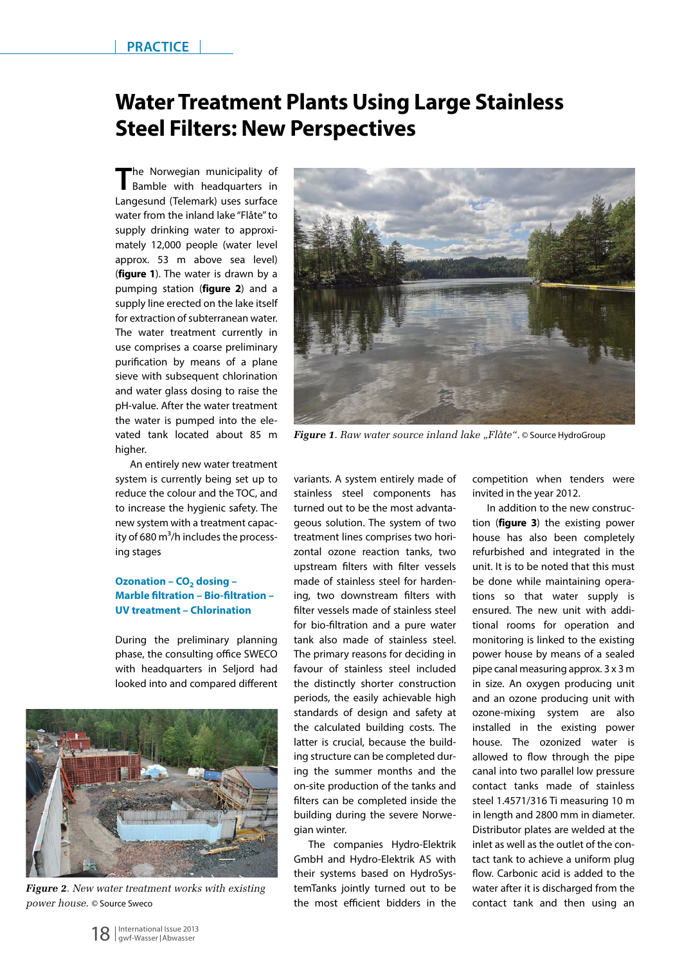## **Water Treatment Plants Using Large Stainless Steel Filters: New Perspectives**

The Norwegian municipality of Bamble with headquarters in Langesund (Telemark) uses surface water from the inland lake "Flåte" to supply drinking water to approximately 12,000 people (water level approx. 53 m above sea level) (**figure 1**). The water is drawn by a pumping station (**figure 2**) and a supply line erected on the lake itself for extraction of subterranean water. The water treatment currently in use comprises a coarse preliminary purification by means of a plane sieve with subsequent chlorination and water glass dosing to raise the pH-value. After the water treatment the water is pumped into the elevated tank located about 85 m higher.

An entirely new water treatment system is currently being set up to reduce the colour and the TOC, and to increase the hygienic safety. The new system with a treatment capacity of 680  $m^3/h$  includes the processing stages

## **Ozonation – CO<sub>2</sub> dosing – Marble filtration – Bio-filtration – UV treatment – Chlorination**

During the preliminary planning phase, the consulting office SWECO with headquarters in Seljord had looked into and compared different



*Figure 2. New water treatment works with existing power house.* © Source Sweco



*Figure 1. Raw water source inland lake "Flåte".* © Source HydroGroup

variants. A system entirely made of stainless steel components has turned out to be the most advantageous solution. The system of two treatment lines comprises two horizontal ozone reaction tanks, two upstream filters with filter vessels made of stainless steel for hardening, two downstream filters with filter vessels made of stainless steel for bio-filtration and a pure water tank also made of stainless steel. The primary reasons for deciding in favour of stainless steel included the distinctly shorter construction periods, the easily achievable high standards of design and safety at the calculated building costs. The latter is crucial, because the building structure can be completed during the summer months and the on-site production of the tanks and filters can be completed inside the building during the severe Norwegian winter.

The companies Hydro-Elektrik GmbH and Hydro-Elektrik AS with their systems based on HydroSystemTanks jointly turned out to be the most efficient bidders in the

competition when tenders were invited in the year 2012.

In addition to the new construction (**figure 3**) the existing power house has also been completely refurbished and integrated in the unit. It is to be noted that this must be done while maintaining operations so that water supply is ensured. The new unit with additional rooms for operation and monitoring is linked to the existing power house by means of a sealed pipe canal measuring approx. 3 x 3 m in size. An oxygen producing unit and an ozone producing unit with ozone-mixing system are also installed in the existing power house. The ozonized water is allowed to flow through the pipe canal into two parallel low pressure contact tanks made of stainless steel 1.4571/316 Ti measuring 10 m in length and 2800 mm in diameter. Distributor plates are welded at the inlet as well as the outlet of the contact tank to achieve a uniform plug flow. Carbonic acid is added to the water after it is discharged from the contact tank and then using an